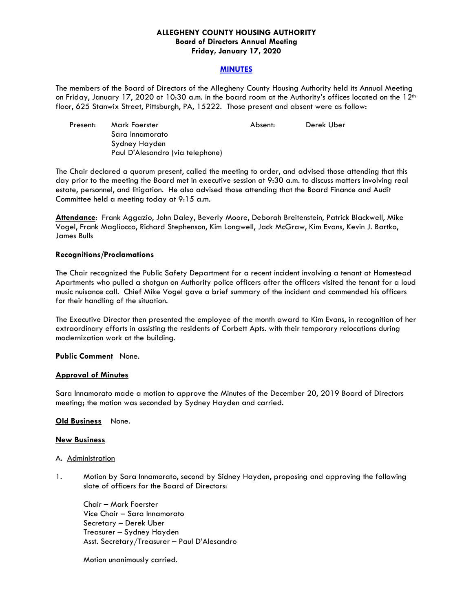### **ALLEGHENY COUNTY HOUSING AUTHORITY Board of Directors Annual Meeting Friday, January 17, 2020**

### **MINUTES**

The members of the Board of Directors of the Allegheny County Housing Authority held its Annual Meeting on Friday, January 17, 2020 at 10:30 a.m. in the board room at the Authority's offices located on the 12<sup>th</sup> floor, 625 Stanwix Street, Pittsburgh, PA, 15222. Those present and absent were as follow:

| Present: | Mark Foerster                    | Absent: | Derek Uber |
|----------|----------------------------------|---------|------------|
|          | Sara Innamorato                  |         |            |
|          | Sydney Hayden                    |         |            |
|          | Paul D'Alesandro (via telephone) |         |            |

The Chair declared a quorum present, called the meeting to order, and advised those attending that this day prior to the meeting the Board met in executive session at 9:30 a.m. to discuss matters involving real estate, personnel, and litigation. He also advised those attending that the Board Finance and Audit Committee held a meeting today at 9:15 a.m.

**Attendance**: Frank Aggazio, John Daley, Beverly Moore, Deborah Breitenstein, Patrick Blackwell, Mike Vogel, Frank Magliocco, Richard Stephenson, Kim Longwell, Jack McGraw, Kim Evans, Kevin J. Bartko, James Bulls

### **Recognitions/Proclamations**

The Chair recognized the Public Safety Department for a recent incident involving a tenant at Homestead Apartments who pulled a shotgun on Authority police officers after the officers visited the tenant for a loud music nuisance call. Chief Mike Vogel gave a brief summary of the incident and commended his officers for their handling of the situation.

The Executive Director then presented the employee of the month award to Kim Evans, in recognition of her extraordinary efforts in assisting the residents of Corbett Apts. with their temporary relocations during modernization work at the building.

### **Public Comment** None.

### **Approval of Minutes**

Sara Innamorato made a motion to approve the Minutes of the December 20, 2019 Board of Directors meeting; the motion was seconded by Sydney Hayden and carried.

#### **Old Business** None.

#### **New Business**

#### A. Administration

1. Motion by Sara Innamorato, second by Sidney Hayden, proposing and approving the following slate of officers for the Board of Directors:

 Chair – Mark Foerster Vice Chair – Sara Innamorato Secretary – Derek Uber Treasurer – Sydney Hayden Asst. Secretary/Treasurer – Paul D'Alesandro

Motion unanimously carried.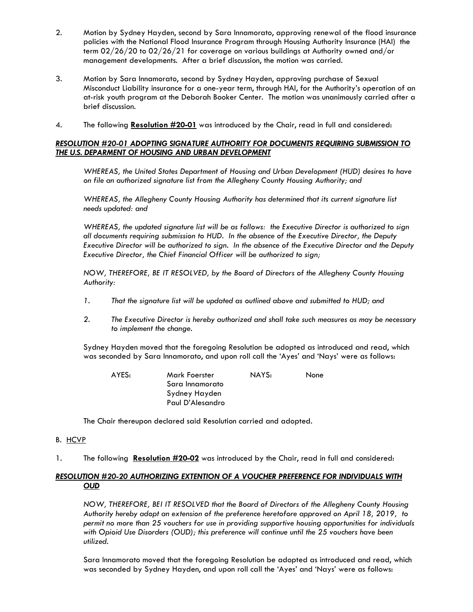- 2. Motion by Sydney Hayden, second by Sara Innamorato, approving renewal of the flood insurance policies with the National Flood Insurance Program through Housing Authority Insurance (HAI) the term 02/26/20 to 02/26/21 for coverage on various buildings at Authority owned and/or management developments. After a brief discussion, the motion was carried.
- 3. Motion by Sara Innamorato, second by Sydney Hayden, approving purchase of Sexual Misconduct Liability insurance for a one-year term, through HAI, for the Authority's operation of an at-risk youth program at the Deborah Booker Center. The motion was unanimously carried after a brief discussion.
- 4. The following **Resolution #20-01** was introduced by the Chair, read in full and considered:

## *RESOLUTION #20-01 ADOPTING SIGNATURE AUTHORITY FOR DOCUMENTS REQUIRING SUBMISSION TO THE U.S. DEPARMENT OF HOUSING AND URBAN DEVELOPMENT*

*WHEREAS, the United States Department of Housing and Urban Development (HUD) desires to have on file an authorized signature list from the Allegheny County Housing Authority; and* 

*WHEREAS, the Allegheny County Housing Authority has determined that its current signature list needs updated: and* 

*WHEREAS, the updated signature list will be as follows: the Executive Director is authorized to sign all documents requiring submission to HUD. In the absence of the Executive Director, the Deputy Executive Director will be authorized to sign. In the absence of the Executive Director and the Deputy Executive Director, the Chief Financial Officer will be authorized to sign;* 

*NOW, THEREFORE, BE IT RESOLVED, by the Board of Directors of the Allegheny County Housing Authority:* 

- *1. That the signature list will be updated as outlined above and submitted to HUD; and*
- *2. The Executive Director is hereby authorized and shall take such measures as may be necessary to implement the change.*

 Sydney Hayden moved that the foregoing Resolution be adopted as introduced and read, which was seconded by Sara Innamorato, and upon roll call the 'Ayes' and 'Nays' were as follows:

| Mark Foerster    | NAYS: | <b>None</b> |
|------------------|-------|-------------|
| Sara Innamorato  |       |             |
| Sydney Hayden    |       |             |
| Paul D'Alesandro |       |             |
|                  |       |             |

The Chair thereupon declared said Resolution carried and adopted*.* 

- B. HCVP
- 1. The following **Resolution #20-02** was introduced by the Chair, read in full and considered:

## *RESOLUTION #20-20 AUTHORIZING EXTENTION OF A VOUCHER PREFERENCE FOR INDIVIDUALS WITH OUD*

 *NOW, THEREFORE, BEI IT RESOLVED that the Board of Directors of the Allegheny County Housing Authority hereby adopt an extension of the preference heretofore approved on April 18, 2019, to permit no more than 25 vouchers for use in providing supportive housing opportunities for individuals with Opioid Use Disorders (OUD); this preference will continue until the 25 vouchers have been utilized.* 

 Sara Innamorato moved that the foregoing Resolution be adopted as introduced and read, which was seconded by Sydney Hayden, and upon roll call the 'Ayes' and 'Nays' were as follows: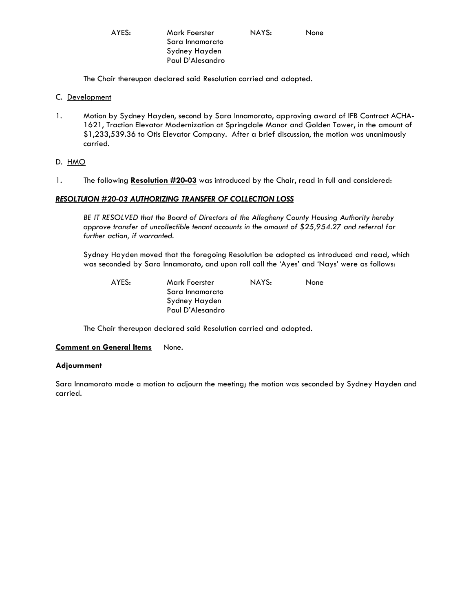AYES: Mark Foerster NAYS: None Sara Innamorato Sydney Hayden Paul D'Alesandro

The Chair thereupon declared said Resolution carried and adopted*.* 

- C. Development
- 1. Motion by Sydney Hayden, second by Sara Innamorato, approving award of IFB Contract ACHA-1621, Traction Elevator Modernization at Springdale Manor and Golden Tower, in the amount of \$1,233,539.36 to Otis Elevator Company. After a brief discussion, the motion was unanimously carried.

D. HMO

1. The following **Resolution #20-03** was introduced by the Chair, read in full and considered:

### *RESOLTUION #20-03 AUTHORIZING TRANSFER OF COLLECTION LOSS*

 *BE IT RESOLVED that the Board of Directors of the Allegheny County Housing Authority hereby approve transfer of uncollectible tenant accounts in the amount of \$25,954.27 and referral for further action, if warranted.* 

 Sydney Hayden moved that the foregoing Resolution be adopted as introduced and read, which was seconded by Sara Innamorato, and upon roll call the 'Ayes' and 'Nays' were as follows:

 AYES: Mark Foerster NAYS: None Sara Innamorato Sydney Hayden Paul D'Alesandro

The Chair thereupon declared said Resolution carried and adopted*.* 

### **Comment on General Items** None.

#### **Adjournment**

Sara Innamorato made a motion to adjourn the meeting; the motion was seconded by Sydney Hayden and carried.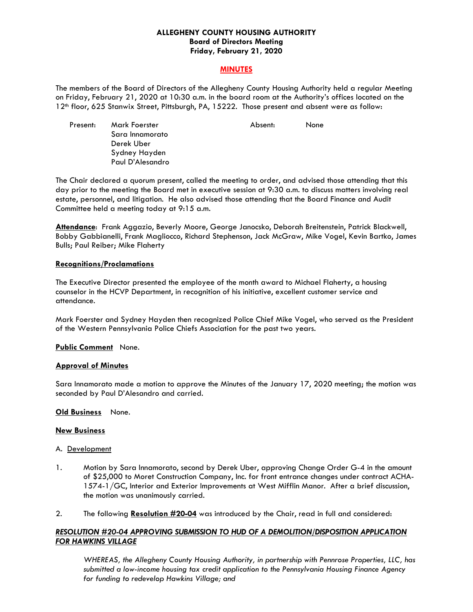### **ALLEGHENY COUNTY HOUSING AUTHORITY Board of Directors Meeting Friday, February 21, 2020**

### **MINUTES**

The members of the Board of Directors of the Allegheny County Housing Authority held a regular Meeting on Friday, February 21, 2020 at 10:30 a.m. in the board room at the Authority's offices located on the 12<sup>th</sup> floor, 625 Stanwix Street, Pittsburgh, PA, 15222. Those present and absent were as follow:

Present: Mark Foerster Absent: None Sara Innamorato Derek Uber Sydney Hayden Paul D'Alesandro

The Chair declared a quorum present, called the meeting to order, and advised those attending that this day prior to the meeting the Board met in executive session at 9:30 a.m. to discuss matters involving real estate, personnel, and litigation. He also advised those attending that the Board Finance and Audit Committee held a meeting today at 9:15 a.m.

**Attendance**: Frank Aggazio, Beverly Moore, George Janocsko, Deborah Breitenstein, Patrick Blackwell, Bobby Gabbianelli, Frank Magliocco, Richard Stephenson, Jack McGraw, Mike Vogel, Kevin Bartko, James Bulls; Paul Reiber; Mike Flaherty

### **Recognitions/Proclamations**

The Executive Director presented the employee of the month award to Michael Flaherty, a housing counselor in the HCVP Department, in recognition of his initiative, excellent customer service and attendance.

Mark Foerster and Sydney Hayden then recognized Police Chief Mike Vogel, who served as the President of the Western Pennsylvania Police Chiefs Association for the past two years.

### **Public Comment** None.

## **Approval of Minutes**

Sara Innamorato made a motion to approve the Minutes of the January 17, 2020 meeting; the motion was seconded by Paul D'Alesandro and carried.

#### **Old Business** None.

#### **New Business**

#### A. Development

- 1. Motion by Sara Innamorato, second by Derek Uber, approving Change Order G-4 in the amount of \$25,000 to Moret Construction Company, Inc. for front entrance changes under contract ACHA-1574-1/GC, Interior and Exterior Improvements at West Mifflin Manor. After a brief discussion, the motion was unanimously carried.
- 2. The following **Resolution #20-04** was introduced by the Chair, read in full and considered:

## *RESOLUTION #20-04 APPROVING SUBMISSION TO HUD OF A DEMOLITION/DISPOSITION APPLICATION FOR HAWKINS VILLAGE*

 *WHEREAS, the Allegheny County Housing Authority, in partnership with Pennrose Properties, LLC, has submitted a low-income housing tax credit application to the Pennsylvania Housing Finance Agency for funding to redevelop Hawkins Village; and*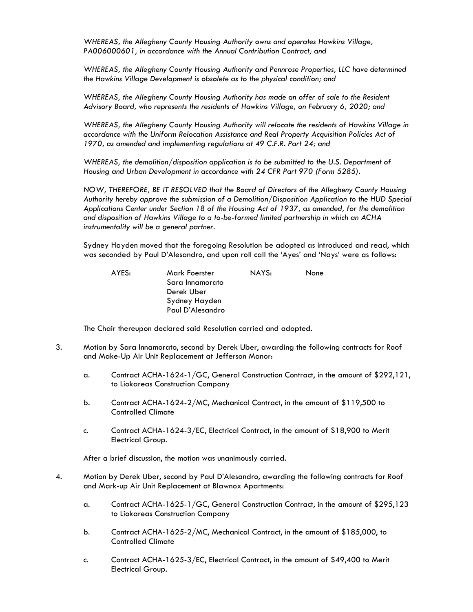*WHEREAS, the Allegheny County Housing Authority owns and operates Hawkins Village, PA006000601, in accordance with the Annual Contribution Contract; and* 

 *WHEREAS, the Allegheny County Housing Authority and Pennrose Properties, LLC have determined the Hawkins Village Development is obsolete as to the physical condition; and* 

 *WHEREAS, the Allegheny County Housing Authority has made an offer of sale to the Resident Advisory Board, who represents the residents of Hawkins Village, on February 6, 2020; and* 

 *WHEREAS, the Allegheny County Housing Authority will relocate the residents of Hawkins Village in accordance with the Uniform Relocation Assistance and Real Property Acquisition Policies Act of 1970, as amended and implementing regulations at 49 C.F.R. Part 24; and* 

 *WHEREAS, the demolition/disposition application is to be submitted to the U.S. Department of Housing and Urban Development in accordance with 24 CFR Part 970 (Form 5285).* 

 *NOW, THEREFORE, BE IT RESOLVED that the Board of Directors of the Allegheny County Housing Authority hereby approve the submission of a Demolition/Disposition Application to the HUD Special Applications Center under Section 18 of the Housing Act of 1937, as amended, for the demolition and disposition of Hawkins Village to a to-be-formed limited partnership in which an ACHA instrumentality will be a general partner.* 

 Sydney Hayden moved that the foregoing Resolution be adopted as introduced and read, which was seconded by Paul D'Alesandro, and upon roll call the 'Ayes' and 'Nays' were as follows:

| AYES: | Mark Foerster    | NAYS: | None |
|-------|------------------|-------|------|
|       | Sara Innamorato  |       |      |
|       | Derek Uber       |       |      |
|       | Sydney Hayden    |       |      |
|       | Paul D'Alesandro |       |      |

The Chair thereupon declared said Resolution carried and adopted*.* 

- 3. Motion by Sara Innamorato, second by Derek Uber, awarding the following contracts for Roof and Make-Up Air Unit Replacement at Jefferson Manor:
	- a. Contract ACHA-1624-1/GC, General Construction Contract, in the amount of \$292,121, to Liokareas Construction Company
	- b. Contract ACHA-1624-2/MC, Mechanical Contract, in the amount of \$119,500 to Controlled Climate
	- c. Contract ACHA-1624-3/EC, Electrical Contract, in the amount of \$18,900 to Merit Electrical Group.

After a brief discussion, the motion was unanimously carried.

- 4. Motion by Derek Uber, second by Paul D'Alesandro, awarding the following contracts for Roof and Mark-up Air Unit Replacement at Blawnox Apartments:
	- a. Contract ACHA-1625-1/GC, General Construction Contract, in the amount of \$295,123 to Liokareas Construction Company
	- b. Contract ACHA-1625-2/MC, Mechanical Contract, in the amount of \$185,000, to Controlled Climate
	- c. Contract ACHA-1625-3/EC, Electrical Contract, in the amount of \$49,400 to Merit Electrical Group.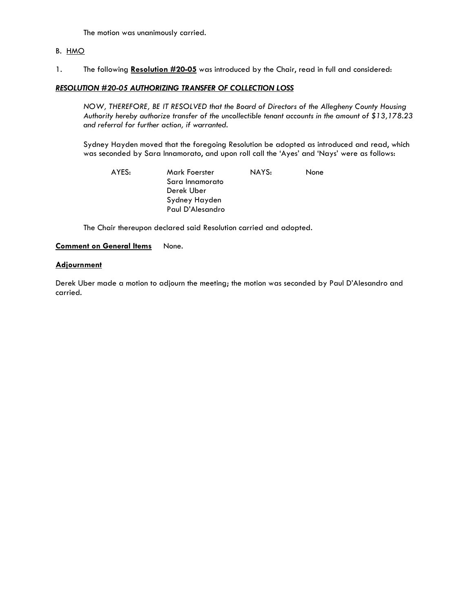The motion was unanimously carried.

## B. HMO

1. The following **Resolution #20-05** was introduced by the Chair, read in full and considered:

## *RESOLUTION #20-05 AUTHORIZING TRANSFER OF COLLECTION LOSS*

 *NOW, THEREFORE, BE IT RESOLVED that the Board of Directors of the Allegheny County Housing Authority hereby authorize transfer of the uncollectible tenant accounts in the amount of \$13,178.23 and referral for further action, if warranted.* 

 Sydney Hayden moved that the foregoing Resolution be adopted as introduced and read, which was seconded by Sara Innamorato, and upon roll call the 'Ayes' and 'Nays' were as follows:

AYES: Mark Foerster NAYS: None Sara Innamorato Derek Uber Sydney Hayden Paul D'Alesandro

The Chair thereupon declared said Resolution carried and adopted*.* 

### **Comment on General Items** None.

### **Adjournment**

Derek Uber made a motion to adjourn the meeting; the motion was seconded by Paul D'Alesandro and carried.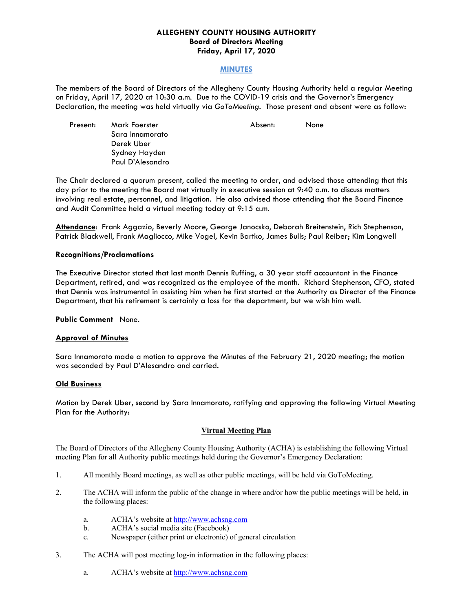### **ALLEGHENY COUNTY HOUSING AUTHORITY Board of Directors Meeting Friday, April 17, 2020**

### **MINUTES**

The members of the Board of Directors of the Allegheny County Housing Authority held a regular Meeting on Friday, April 17, 2020 at 10:30 a.m. Due to the COVID-19 crisis and the Governor's Emergency Declaration, the meeting was held virtually via *GoToMeeting.* Those present and absent were as follow:

Present: Mark Foerster **Absent: None**  Sara Innamorato Derek Uber Sydney Hayden Paul D'Alesandro

The Chair declared a quorum present, called the meeting to order, and advised those attending that this day prior to the meeting the Board met virtually in executive session at 9:40 a.m. to discuss matters involving real estate, personnel, and litigation. He also advised those attending that the Board Finance and Audit Committee held a virtual meeting today at 9:15 a.m.

**Attendance**: Frank Aggazio, Beverly Moore, George Janocsko, Deborah Breitenstein, Rich Stephenson, Patrick Blackwell, Frank Magliocco, Mike Vogel, Kevin Bartko, James Bulls; Paul Reiber; Kim Longwell

### **Recognitions/Proclamations**

The Executive Director stated that last month Dennis Ruffing, a 30 year staff accountant in the Finance Department, retired, and was recognized as the employee of the month. Richard Stephenson, CFO, stated that Dennis was instrumental in assisting him when he first started at the Authority as Director of the Finance Department, that his retirement is certainly a loss for the department, but we wish him well.

**Public Comment** None.

### **Approval of Minutes**

Sara Innamorato made a motion to approve the Minutes of the February 21, 2020 meeting; the motion was seconded by Paul D'Alesandro and carried.

#### **Old Business**

Motion by Derek Uber, second by Sara Innamorato, ratifying and approving the following Virtual Meeting Plan for the Authority:

#### **Virtual Meeting Plan**

The Board of Directors of the Allegheny County Housing Authority (ACHA) is establishing the following Virtual meeting Plan for all Authority public meetings held during the Governor's Emergency Declaration:

- 1. All monthly Board meetings, as well as other public meetings, will be held via GoToMeeting.
- 2. The ACHA will inform the public of the change in where and/or how the public meetings will be held, in the following places:
	- a. ACHA's website at http://www.achsng.com
	- b. ACHA's social media site (Facebook)
	- c. Newspaper (either print or electronic) of general circulation
- 3. The ACHA will post meeting log-in information in the following places:
	- a. ACHA's website at http://www.achsng.com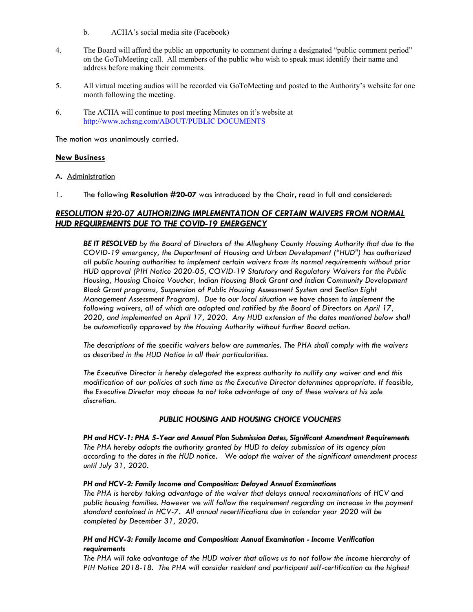- b. ACHA's social media site (Facebook)
- 4. The Board will afford the public an opportunity to comment during a designated "public comment period" on the GoToMeeting call. All members of the public who wish to speak must identify their name and address before making their comments.
- 5. All virtual meeting audios will be recorded via GoToMeeting and posted to the Authority's website for one month following the meeting.
- 6. The ACHA will continue to post meeting Minutes on it's website at http://www.achsng.com/ABOUT/PUBLIC DOCUMENTS

The motion was unanimously carried.

### **New Business**

# A. Administration

1. The following **Resolution #20-07** was introduced by the Chair, read in full and considered:

# *RESOLUTION #20-07 AUTHORIZING IMPLEMENTATION OF CERTAIN WAIVERS FROM NORMAL HUD REQUIREMENTS DUE TO THE COVID-19 EMERGENCY*

*BE IT RESOLVED by the Board of Directors of the Allegheny County Housing Authority that due to the COVID-19 emergency, the Department of Housing and Urban Development ("HUD") has authorized all public housing authorities to implement certain waivers from its normal requirements without prior HUD approval (PIH Notice 2020-05, COVID-19 Statutory and Regulatory Waivers for the Public Housing, Housing Choice Voucher, Indian Housing Block Grant and Indian Community Development Block Grant programs, Suspension of Public Housing Assessment System and Section Eight Management Assessment Program). Due to our local situation we have chosen to implement the following waivers, all of which are adopted and ratified by the Board of Directors on April 17, 2020, and implemented on April 17, 2020. Any HUD extension of the dates mentioned below shall be automatically approved by the Housing Authority without further Board action.* 

*The descriptions of the specific waivers below are summaries. The PHA shall comply with the waivers as described in the HUD Notice in all their particularities.* 

*The Executive Director is hereby delegated the express authority to nullify any waiver and end this*  modification of our policies at such time as the Executive Director determines appropriate. If feasible, *the Executive Director may choose to not take advantage of any of these waivers at his sole discretion.* 

### *PUBLIC HOUSING AND HOUSING CHOICE VOUCHERS*

*PH and HCV-1: PHA 5-Year and Annual Plan Submission Dates, Significant Amendment Requirements The PHA hereby adopts the authority granted by HUD to delay submission of its agency plan according to the dates in the HUD notice. We adopt the waiver of the significant amendment process until July 31, 2020.* 

#### *PH and HCV-2: Family Income and Composition: Delayed Annual Examinations*

*The PHA is hereby taking advantage of the waiver that delays annual reexaminations of HCV and public housing families. However we will follow the requirement regarding an increase in the payment standard contained in HCV-7. All annual recertifications due in calendar year 2020 will be completed by December 31, 2020.* 

## *PH and HCV-3: Family Income and Composition: Annual Examination - Income Verification requirements*

*The PHA will take advantage of the HUD waiver that allows us to not follow the income hierarchy of PIH Notice 2018-18. The PHA will consider resident and participant self-certification as the highest*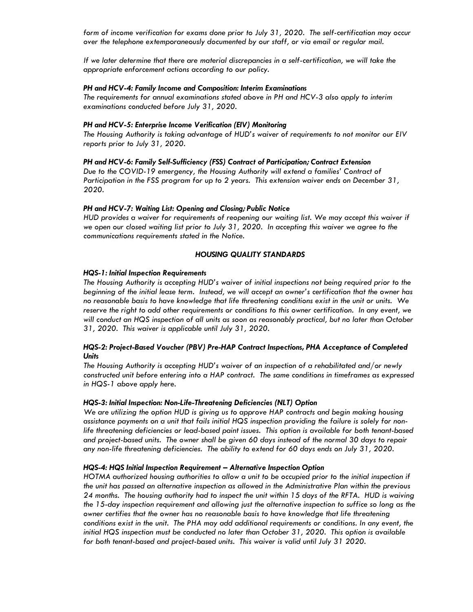*form of income verification for exams done prior to July 31, 2020. The self-certification may occur over the telephone extemporaneously documented by our staff, or via email or regular mail.* 

*If we later determine that there are material discrepancies in a self-certification, we will take the appropriate enforcement actions according to our policy.* 

#### *PH and HCV-4: Family Income and Composition: Interim Examinations*

*The requirements for annual examinations stated above in PH and HCV-3 also apply to interim examinations conducted before July 31, 2020.* 

#### *PH and HCV-5: Enterprise Income Verification (EIV) Monitoring*

*The Housing Authority is taking advantage of HUD's waiver of requirements to not monitor our EIV reports prior to July 31, 2020.* 

*PH and HCV-6: Family Self-Sufficiency (FSS) Contract of Participation; Contract Extension Due to the COVID-19 emergency, the Housing Authority will extend a families' Contract of Participation in the FSS program for up to 2 years. This extension waiver ends on December 31, 2020.* 

### *PH and HCV-7: Waiting List: Opening and Closing; Public Notice*

*HUD provides a waiver for requirements of reopening our waiting list. We may accept this waiver if we open our closed waiting list prior to July 31, 2020. In accepting this waiver we agree to the communications requirements stated in the Notice.* 

### *HOUSING QUALITY STANDARDS*

#### *HQS-1: Initial Inspection Requirements*

*The Housing Authority is accepting HUD's waiver of initial inspections not being required prior to the beginning of the initial lease term. Instead, we will accept an owner's certification that the owner has no reasonable basis to have knowledge that life threatening conditions exist in the unit or units. We reserve the right to add other requirements or conditions to this owner certification. In any event, we will conduct an HQS inspection of all units as soon as reasonably practical, but no later than October 31, 2020. This waiver is applicable until July 31, 2020.* 

### *HQS-2: Project-Based Voucher (PBV) Pre-HAP Contract Inspections, PHA Acceptance of Completed Units*

*The Housing Authority is accepting HUD's waiver of an inspection of a rehabilitated and/or newly constructed unit before entering into a HAP contract. The same conditions in timeframes as expressed in HQS-1 above apply here.* 

#### *HQS-3: Initial Inspection: Non-Life-Threatening Deficiencies (NLT) Option*

*We are utilizing the option HUD is giving us to approve HAP contracts and begin making housing assistance payments on a unit that fails initial HQS inspection providing the failure is solely for nonlife threatening deficiencies or lead-based paint issues. This option is available for both tenant-based and project-based units. The owner shall be given 60 days instead of the normal 30 days to repair any non-life threatening deficiencies. The ability to extend for 60 days ends on July 31, 2020.* 

#### *HQS-4: HQS Initial Inspection Requirement – Alternative Inspection Option*

*HOTMA authorized housing authorities to allow a unit to be occupied prior to the initial inspection if the unit has passed an alternative inspection as allowed in the Administrative Plan within the previous 24 months. The housing authority had to inspect the unit within 15 days of the RFTA. HUD is waiving the 15-day inspection requirement and allowing just the alternative inspection to suffice so long as the owner certifies that the owner has no reasonable basis to have knowledge that life threatening conditions exist in the unit. The PHA may add additional requirements or conditions. In any event, the initial HQS inspection must be conducted no later than October 31, 2020. This option is available*  for both tenant-based and project-based units. This waiver is valid until July 31 2020.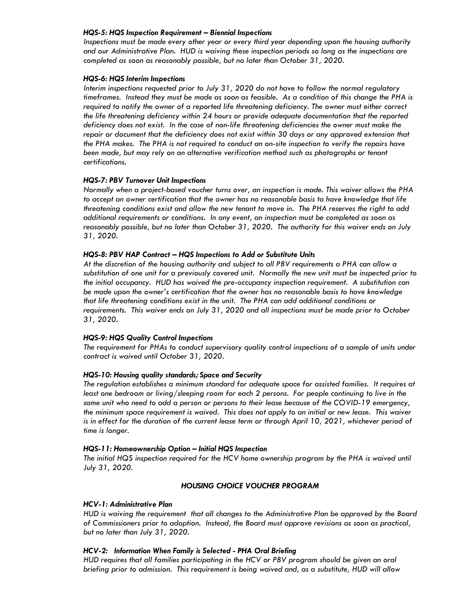#### *HQS-5: HQS Inspection Requirement – Biennial Inspections*

*Inspections must be made every other year or every third year depending upon the housing authority and our Administrative Plan. HUD is waiving these inspection periods so long as the inspections are completed as soon as reasonably possible, but no later than October 31, 2020.* 

### *HQS-6: HQS Interim Inspections*

*Interim inspections requested prior to July 31, 2020 do not have to follow the normal regulatory timeframes. Instead they must be made as soon as feasible. As a condition of this change the PHA is required to notify the owner of a reported life threatening deficiency. The owner must either correct the life threatening deficiency within 24 hours or provide adequate documentation that the reported deficiency does not exist. In the case of non-life threatening deficiencies the owner must make the repair or document that the deficiency does not exist within 30 days or any approved extension that the PHA makes. The PHA is not required to conduct an on-site inspection to verify the repairs have been made, but may rely on an alternative verification method such as photographs or tenant certifications.* 

### *HQS-7: PBV Turnover Unit Inspections*

*Normally when a project-based voucher turns over, an inspection is made. This waiver allows the PHA to accept an owner certification that the owner has no reasonable basis to have knowledge that life threatening conditions exist and allow the new tenant to move in. The PHA reserves the right to add additional requirements or conditions. In any event, an inspection must be completed as soon as reasonably possible, but no later than October 31, 2020. The authority for this waiver ends on July 31, 2020.* 

### *HQS-8: PBV HAP Contract – HQS Inspections to Add or Substitute Units*

*At the discretion of the housing authority and subject to all PBV requirements a PHA can allow a substitution of one unit for a previously covered unit. Normally the new unit must be inspected prior to the initial occupancy. HUD has waived the pre-occupancy inspection requirement. A substitution can be made upon the owner's certification that the owner has no reasonable basis to have knowledge that life threatening conditions exist in the unit. The PHA can add additional conditions or requirements. This waiver ends on July 31, 2020 and all inspections must be made prior to October 31, 2020.* 

### *HQS-9: HQS Quality Control Inspections*

*The requirement for PHAs to conduct supervisory quality control inspections of a sample of units under contract is waived until October 31, 2020.* 

### *HQS-10: Housing quality standards; Space and Security*

*The regulation establishes a minimum standard for adequate space for assisted families. It requires at*  least one bedroom or living/sleeping room for each 2 persons. For people continuing to live in the *same unit who need to add a person or persons to their lease because of the COVID-19 emergency, the minimum space requirement is waived. This does not apply to an initial or new lease. This waiver*  is in effect for the duration of the current lease term or through April 10, 2021, whichever period of *time is longer.* 

#### *HQS-11: Homeownership Option – Initial HQS Inspection*

The initial HQS inspection required for the HCV home ownership program by the PHA is waived until *July 31, 2020.* 

### *HOUSING CHOICE VOUCHER PROGRAM*

#### *HCV-1: Administrative Plan*

*HUD is waiving the requirement that all changes to the Administrative Plan be approved by the Board of Commissioners prior to adoption. Instead, the Board must approve revisions as soon as practical, but no later than July 31, 2020.* 

### *HCV-2: Information When Family is Selected - PHA Oral Briefing*

*HUD requires that all families participating in the HCV or PBV program should be given an oral briefing prior to admission. This requirement is being waived and, as a substitute, HUD will allow*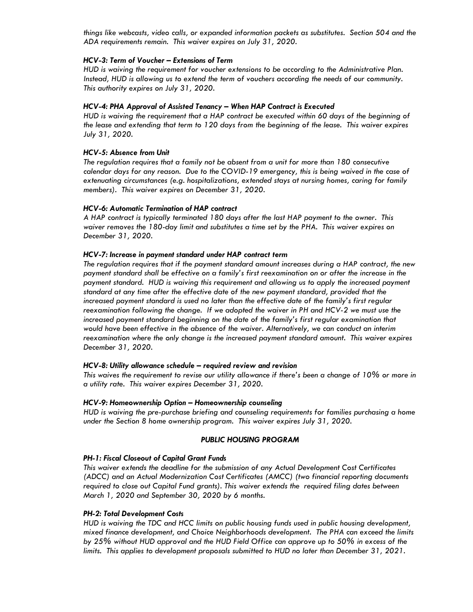*things like webcasts, video calls, or expanded information packets as substitutes. Section 504 and the ADA requirements remain. This waiver expires on July 31, 2020.* 

### *HCV-3: Term of Voucher – Extensions of Term*

*HUD is waiving the requirement for voucher extensions to be according to the Administrative Plan. Instead, HUD is allowing us to extend the term of vouchers according the needs of our community. This authority expires on July 31, 2020.* 

### *HCV-4: PHA Approval of Assisted Tenancy – When HAP Contract is Executed*

*HUD is waiving the requirement that a HAP contract be executed within 60 days of the beginning of the lease and extending that term to 120 days from the beginning of the lease. This waiver expires July 31, 2020.* 

### *HCV-5: Absence from Unit*

*The regulation requires that a family not be absent from a unit for more than 180 consecutive calendar days for any reason. Due to the COVID-19 emergency, this is being waived in the case of extenuating circumstances (e.g. hospitalizations, extended stays at nursing homes, caring for family members). This waiver expires on December 31, 2020.* 

## *HCV-6: Automatic Termination of HAP contract*

*A HAP contract is typically terminated 180 days after the last HAP payment to the owner. This waiver removes the 180-day limit and substitutes a time set by the PHA. This waiver expires on December 31, 2020.* 

#### *HCV-7: Increase in payment standard under HAP contract term*

*The regulation requires that if the payment standard amount increases during a HAP contract, the new payment standard shall be effective on a family's first reexamination on or after the increase in the*  payment standard. HUD is waiving this requirement and allowing us to apply the increased payment *standard at any time after the effective date of the new payment standard, provided that the increased payment standard is used no later than the effective date of the family's first regular reexamination following the change. If we adopted the waiver in PH and HCV-2 we must use the increased payment standard beginning on the date of the family's first regular examination that would have been effective in the absence of the waiver. Alternatively, we can conduct an interim reexamination where the only change is the increased payment standard amount. This waiver expires December 31, 2020.* 

### *HCV-8: Utility allowance schedule – required review and revision*

*This waives the requirement to revise our utility allowance if there's been a change of 10% or more in a utility rate. This waiver expires December 31, 2020.* 

#### *HCV-9: Homeownership Option – Homeownership counseling*

*HUD is waiving the pre-purchase briefing and counseling requirements for families purchasing a home under the Section 8 home ownership program. This waiver expires July 31, 2020.* 

### *PUBLIC HOUSING PROGRAM*

#### *PH-1: Fiscal Closeout of Capital Grant Funds*

*This waiver extends the deadline for the submission of any Actual Development Cost Certificates (ADCC) and an Actual Modernization Cost Certificates (AMCC) (two financial reporting documents required to close out Capital Fund grants). This waiver extends the required filing dates between March 1, 2020 and September 30, 2020 by 6 months.* 

#### *PH-2: Total Development Costs*

*HUD is waiving the TDC and HCC limits on public housing funds used in public housing development, mixed finance development, and Choice Neighborhoods development. The PHA can exceed the limits by 25% without HUD approval and the HUD Field Office can approve up to 50% in excess of the limits. This applies to development proposals submitted to HUD no later than December 31, 2021.*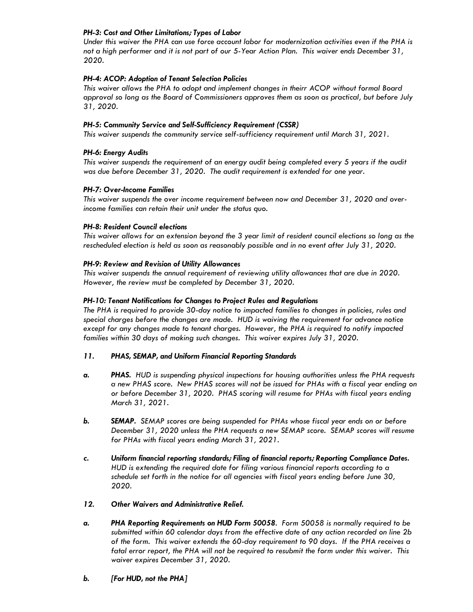## *PH-3: Cost and Other Limitations; Types of Labor*

*Under this waiver the PHA can use force account labor for modernization activities even if the PHA is not a high performer and it is not part of our 5-Year Action Plan. This waiver ends December 31, 2020.* 

## *PH-4: ACOP: Adoption of Tenant Selection Policies*

*This waiver allows the PHA to adopt and implement changes in theirr ACOP without formal Board approval so long as the Board of Commissioners approves them as soon as practical, but before July 31, 2020.* 

## *PH-5: Community Service and Self-Sufficiency Requirement (CSSR)*

*This waiver suspends the community service self-sufficiency requirement until March 31, 2021.* 

## *PH-6: Energy Audits*

*This waiver suspends the requirement of an energy audit being completed every 5 years if the audit was due before December 31, 2020. The audit requirement is extended for one year.* 

## *PH-7: Over-Income Families*

*This waiver suspends the over income requirement between now and December 31, 2020 and overincome families can retain their unit under the status quo.* 

### *PH-8: Resident Council elections*

*This waiver allows for an extension beyond the 3 year limit of resident council elections so long as the rescheduled election is held as soon as reasonably possible and in no event after July 31, 2020.* 

## *PH-9: Review and Revision of Utility Allowances*

*This waiver suspends the annual requirement of reviewing utility allowances that are due in 2020. However, the review must be completed by December 31, 2020.* 

## *PH-10: Tenant Notifications for Changes to Project Rules and Regulations*

*The PHA is required to provide 30-day notice to impacted families to changes in policies, rules and special charges before the changes are made. HUD is waiving the requirement for advance notice except for any changes made to tenant charges. However, the PHA is required to notify impacted families within 30 days of making such changes. This waiver expires July 31, 2020.* 

### *11. PHAS, SEMAP, and Uniform Financial Reporting Standards*

- *a. PHAS. HUD is suspending physical inspections for housing authorities unless the PHA requests a new PHAS score. New PHAS scores will not be issued for PHAs with a fiscal year ending on or before December 31, 2020. PHAS scoring will resume for PHAs with fiscal years ending March 31, 2021.*
- *b. SEMAP. SEMAP scores are being suspended for PHAs whose fiscal year ends on or before December 31, 2020 unless the PHA requests a new SEMAP score. SEMAP scores will resume for PHAs with fiscal years ending March 31, 2021.*
- *c. Uniform financial reporting standards; Filing of financial reports; Reporting Compliance Dates. HUD is extending the required date for filing various financial reports according to a schedule set forth in the notice for all agencies with fiscal years ending before June 30, 2020.*

### *12. Other Waivers and Administrative Relief.*

- *a. PHA Reporting Requirements on HUD Form 50058. Form 50058 is normally required to be submitted within 60 calendar days from the effective date of any action recorded on line 2b of the form. This waiver extends the 60-day requirement to 90 days. If the PHA receives a fatal error report, the PHA will not be required to resubmit the form under this waiver. This waiver expires December 31, 2020.*
- *b. [For HUD, not the PHA]*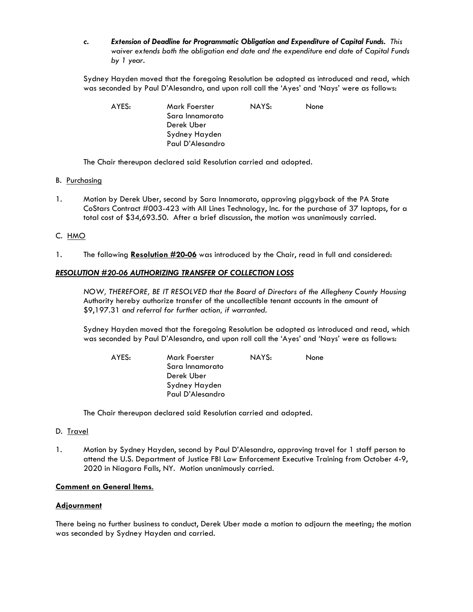*c. Extension of Deadline for Programmatic Obligation and Expenditure of Capital Funds. This waiver extends both the obligation end date and the expenditure end date of Capital Funds by 1 year.* 

 Sydney Hayden moved that the foregoing Resolution be adopted as introduced and read, which was seconded by Paul D'Alesandro, and upon roll call the 'Ayes' and 'Nays' were as follows:

| AYES: | Mark Foerster    | NAYS: | None |
|-------|------------------|-------|------|
|       | Sara Innamorato  |       |      |
|       | Derek Uber       |       |      |
|       | Sydney Hayden    |       |      |
|       | Paul D'Alesandro |       |      |

The Chair thereupon declared said Resolution carried and adopted*.*

- B. Purchasing
- 1. Motion by Derek Uber, second by Sara Innamorato, approving piggyback of the PA State CoStars Contract #003-423 with All Lines Technology, Inc. for the purchase of 37 laptops, for a total cost of \$34,693.50. After a brief discussion, the motion was unanimously carried.

## C. HMO

1. The following **Resolution #20-06** was introduced by the Chair, read in full and considered:

## *RESOLUTION #20-06 AUTHORIZING TRANSFER OF COLLECTION LOSS*

 *NOW, THEREFORE, BE IT RESOLVED that the Board of Directors of the Allegheny County Housing*  Authority hereby authorize transfer of the uncollectible tenant accounts in the amount of \$9,197.31 *and referral for further action, if warranted.* 

 Sydney Hayden moved that the foregoing Resolution be adopted as introduced and read, which was seconded by Paul D'Alesandro, and upon roll call the 'Ayes' and 'Nays' were as follows:

| AYES: | Mark Foerster    | NAYS: | <b>None</b> |
|-------|------------------|-------|-------------|
|       | Sara Innamorato  |       |             |
|       | Derek Uber       |       |             |
|       | Sydney Hayden    |       |             |
|       | Paul D'Alesandro |       |             |

The Chair thereupon declared said Resolution carried and adopted*.* 

### D. Travel

1. Motion by Sydney Hayden, second by Paul D'Alesandro, approving travel for 1 staff person to attend the U.S. Department of Justice FBI Law Enforcement Executive Training from October 4-9, 2020 in Niagara Falls, NY. Motion unanimously carried.

### **Comment on General Items**.

### **Adjournment**

There being no further business to conduct, Derek Uber made a motion to adjourn the meeting; the motion was seconded by Sydney Hayden and carried.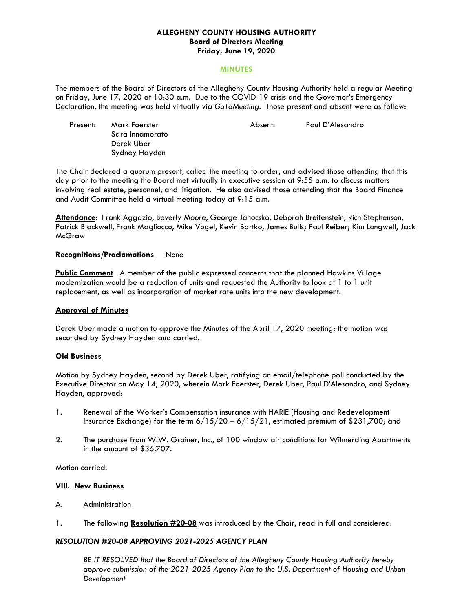### **ALLEGHENY COUNTY HOUSING AUTHORITY Board of Directors Meeting Friday, June 19, 2020**

#### **MINUTES**

The members of the Board of Directors of the Allegheny County Housing Authority held a regular Meeting on Friday, June 17, 2020 at 10:30 a.m. Due to the COVID-19 crisis and the Governor's Emergency Declaration, the meeting was held virtually via *GoToMeeting.* Those present and absent were as follow:

| Present: | Mark Foerster   | Absent: | Paul D'Alesandro |
|----------|-----------------|---------|------------------|
|          | Sara Innamorato |         |                  |
|          | Derek Uber      |         |                  |
|          | Sydney Hayden   |         |                  |

The Chair declared a quorum present, called the meeting to order, and advised those attending that this day prior to the meeting the Board met virtually in executive session at 9:55 a.m. to discuss matters involving real estate, personnel, and litigation. He also advised those attending that the Board Finance and Audit Committee held a virtual meeting today at 9:15 a.m.

**Attendance**: Frank Aggazio, Beverly Moore, George Janocsko, Deborah Breitenstein, Rich Stephenson, Patrick Blackwell, Frank Magliocco, Mike Vogel, Kevin Bartko, James Bulls; Paul Reiber; Kim Longwell, Jack **McGraw** 

### **Recognitions/Proclamations** None

**Public Comment** A member of the public expressed concerns that the planned Hawkins Village modernization would be a reduction of units and requested the Authority to look at 1 to 1 unit replacement, as well as incorporation of market rate units into the new development.

### **Approval of Minutes**

Derek Uber made a motion to approve the Minutes of the April 17, 2020 meeting; the motion was seconded by Sydney Hayden and carried.

#### **Old Business**

Motion by Sydney Hayden, second by Derek Uber, ratifying an email/telephone poll conducted by the Executive Director on May 14, 2020, wherein Mark Foerster, Derek Uber, Paul D'Alesandro, and Sydney Hayden, approved:

- 1. Renewal of the Worker's Compensation insurance with HARIE (Housing and Redevelopment Insurance Exchange) for the term 6/15/20 – 6/15/21, estimated premium of \$231,700; and
- 2. The purchase from W.W. Grainer, Inc., of 100 window air conditions for Wilmerding Apartments in the amount of \$36,707.

Motion carried.

#### **VIII. New Business**

- A. Administration
- 1. The following **Resolution #20-08** was introduced by the Chair, read in full and considered:

### *RESOLUTION #20-08 APPROVING 2021-2025 AGENCY PLAN*

*BE IT RESOLVED that the Board of Directors of the Allegheny County Housing Authority hereby approve submission of the 2021-2025 Agency Plan to the U.S. Department of Housing and Urban Development*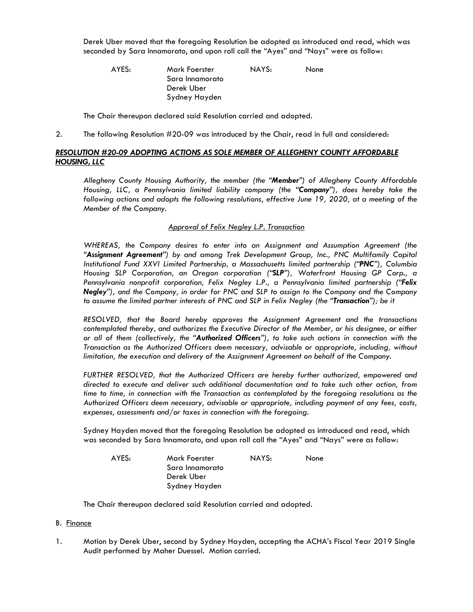Derek Uber moved that the foregoing Resolution be adopted as introduced and read, which was seconded by Sara Innamorato, and upon roll call the "Ayes" and "Nays" were as follow:

| AYES: | Mark Foerster   | NAYS: | None |
|-------|-----------------|-------|------|
|       | Sara Innamorato |       |      |
|       | Derek Uber      |       |      |
|       | Sydney Hayden   |       |      |

The Chair thereupon declared said Resolution carried and adopted*.*

2. The following Resolution #20-09 was introduced by the Chair, read in full and considered:

## *RESOLUTION #20-09 ADOPTING ACTIONS AS SOLE MEMBER OF ALLEGHENY COUNTY AFFORDABLE HOUSING, LLC*

*Allegheny County Housing Authority, the member (the "Member") of Allegheny County Affordable Housing, LLC, a Pennsylvania limited liability company (the "Company"), does hereby take the following actions and adopts the following resolutions, effective June 19, 2020, at a meeting of the Member of the Company.* 

### *Approval of Felix Negley L.P. Transaction*

*WHEREAS, the Company desires to enter into an Assignment and Assumption Agreement (the "Assignment Agreement") by and among Trek Development Group, Inc., PNC Multifamily Capital Institutional Fund XXVI Limited Partnership, a Massachusetts limited partnership ("PNC"), Columbia Housing SLP Corporation, an Oregon corporation ("SLP"), Waterfront Housing GP Corp., a Pennsylvania nonprofit corporation, Felix Negley L.P., a Pennsylvania limited partnership ("Felix Negley"), and the Company, in order for PNC and SLP to assign to the Company and the Company to assume the limited partner interests of PNC and SLP in Felix Negley (the "Transaction"); be it* 

*RESOLVED, that the Board hereby approves the Assignment Agreement and the transactions contemplated thereby, and authorizes the Executive Director of the Member, or his designee, or either or all of them (collectively, the "Authorized Officers"), to take such actions in connection with the Transaction as the Authorized Officers deem necessary, advisable or appropriate, including, without limitation, the execution and delivery of the Assignment Agreement on behalf of the Company.* 

*FURTHER RESOLVED, that the Authorized Officers are hereby further authorized, empowered and directed to execute and deliver such additional documentation and to take such other action, from time to time, in connection with the Transaction as contemplated by the foregoing resolutions as the Authorized Officers deem necessary, advisable or appropriate, including payment of any fees, costs, expenses, assessments and/or taxes in connection with the foregoing.* 

Sydney Hayden moved that the foregoing Resolution be adopted as introduced and read, which was seconded by Sara Innamorato, and upon roll call the "Ayes" and "Nays" were as follow:

| AYES: | Mark Foerster   | NAYS: | <b>None</b> |
|-------|-----------------|-------|-------------|
|       | Sara Innamorato |       |             |
|       | Derek Uber      |       |             |
|       | Sydney Hayden   |       |             |

The Chair thereupon declared said Resolution carried and adopted*.*

### B. Finance

1. Motion by Derek Uber, second by Sydney Hayden, accepting the ACHA's Fiscal Year 2019 Single Audit performed by Maher Duessel. Motion carried.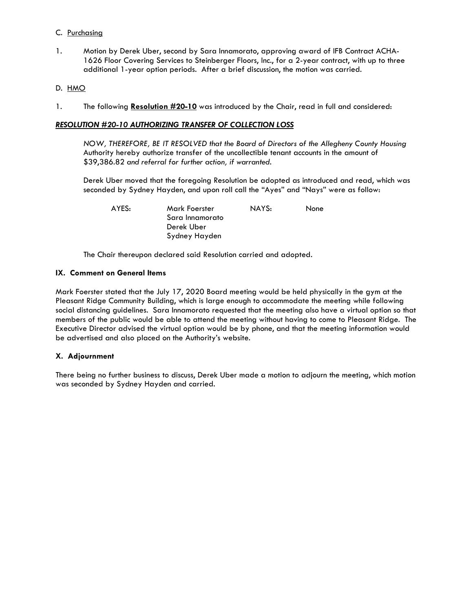## C. Purchasing

1. Motion by Derek Uber, second by Sara Innamorato, approving award of IFB Contract ACHA-1626 Floor Covering Services to Steinberger Floors, Inc., for a 2-year contract, with up to three additional 1-year option periods. After a brief discussion, the motion was carried.

## D. HMO

1. The following **Resolution #20-10** was introduced by the Chair, read in full and considered:

## *RESOLUTION #20-10 AUTHORIZING TRANSFER OF COLLECTION LOSS*

 *NOW, THEREFORE, BE IT RESOLVED that the Board of Directors of the Allegheny County Housing*  Authority hereby authorize transfer of the uncollectible tenant accounts in the amount of \$39,386.82 *and referral for further action, if warranted.* 

Derek Uber moved that the foregoing Resolution be adopted as introduced and read, which was seconded by Sydney Hayden, and upon roll call the "Ayes" and "Nays" were as follow:

 AYES: Mark Foerster NAYS: None Sara Innamorato

The Chair thereupon declared said Resolution carried and adopted*.*

Derek Uber Sydney Hayden

### **IX. Comment on General Items**

Mark Foerster stated that the July 17, 2020 Board meeting would be held physically in the gym at the Pleasant Ridge Community Building, which is large enough to accommodate the meeting while following social distancing guidelines. Sara Innamorato requested that the meeting also have a virtual option so that members of the public would be able to attend the meeting without having to come to Pleasant Ridge. The Executive Director advised the virtual option would be by phone, and that the meeting information would be advertised and also placed on the Authority's website.

### **X. Adjournment**

There being no further business to discuss, Derek Uber made a motion to adjourn the meeting, which motion was seconded by Sydney Hayden and carried.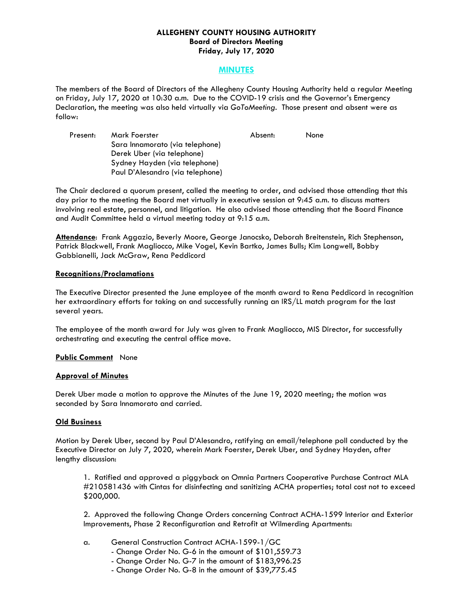### **ALLEGHENY COUNTY HOUSING AUTHORITY Board of Directors Meeting Friday, July 17, 2020**

## **MINUTES**

The members of the Board of Directors of the Allegheny County Housing Authority held a regular Meeting on Friday, July 17, 2020 at 10:30 a.m. Due to the COVID-19 crisis and the Governor's Emergency Declaration, the meeting was also held virtually via *GoToMeeting.* Those present and absent were as follow:

| Present: | Mark Foerster                    | Absent: | None |
|----------|----------------------------------|---------|------|
|          | Sara Innamorato (via telephone)  |         |      |
|          | Derek Uber (via telephone)       |         |      |
|          | Sydney Hayden (via telephone)    |         |      |
|          | Paul D'Alesandro (via telephone) |         |      |

The Chair declared a quorum present, called the meeting to order, and advised those attending that this day prior to the meeting the Board met virtually in executive session at 9:45 a.m. to discuss matters involving real estate, personnel, and litigation. He also advised those attending that the Board Finance and Audit Committee held a virtual meeting today at 9:15 a.m.

**Attendance**: Frank Aggazio, Beverly Moore, George Janocsko, Deborah Breitenstein, Rich Stephenson, Patrick Blackwell, Frank Magliocco, Mike Vogel, Kevin Bartko, James Bulls; Kim Longwell, Bobby Gabbianelli, Jack McGraw, Rena Peddicord

### **Recognitions/Proclamations**

The Executive Director presented the June employee of the month award to Rena Peddicord in recognition her extraordinary efforts for taking on and successfully running an IRS/LL match program for the last several years.

The employee of the month award for July was given to Frank Magliocco, MIS Director, for successfully orchestrating and executing the central office move.

### **Public Comment** None

### **Approval of Minutes**

Derek Uber made a motion to approve the Minutes of the June 19, 2020 meeting; the motion was seconded by Sara Innamorato and carried.

### **Old Business**

Motion by Derek Uber, second by Paul D'Alesandro, ratifying an email/telephone poll conducted by the Executive Director on July 7, 2020, wherein Mark Foerster, Derek Uber, and Sydney Hayden, after lengthy discussion:

1. Ratified and approved a piggyback on Omnia Partners Cooperative Purchase Contract MLA #210581436 with Cintas for disinfecting and sanitizing ACHA properties; total cost not to exceed \$200,000.

2. Approved the following Change Orders concerning Contract ACHA-1599 Interior and Exterior Improvements, Phase 2 Reconfiguration and Retrofit at Wilmerding Apartments:

- a. General Construction Contract ACHA-1599-1/GC
	- Change Order No. G-6 in the amount of \$101,559.73
	- Change Order No. G-7 in the amount of \$183,996.25
	- Change Order No. G-8 in the amount of \$39,775.45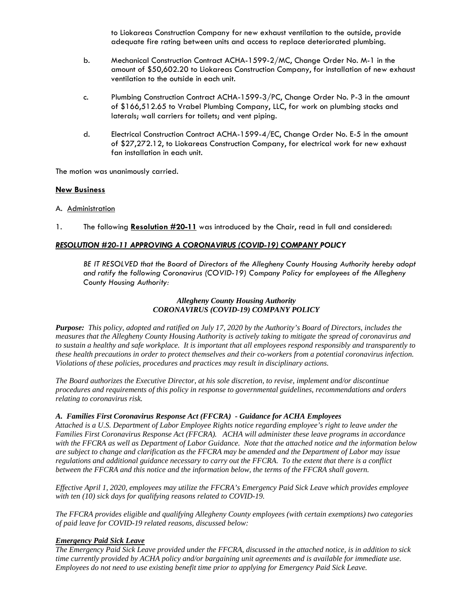to Liokareas Construction Company for new exhaust ventilation to the outside, provide adequate fire rating between units and access to replace deteriorated plumbing.

- b. Mechanical Construction Contract ACHA-1599-2/MC, Change Order No. M-1 in the amount of \$50,602.20 to Liokareas Construction Company, for installation of new exhaust ventilation to the outside in each unit.
- c. Plumbing Construction Contract ACHA-1599-3/PC, Change Order No. P-3 in the amount of \$166,512.65 to Vrabel Plumbing Company, LLC, for work on plumbing stacks and laterals; wall carriers for toilets; and vent piping.
- d. Electrical Construction Contract ACHA-1599-4/EC, Change Order No. E-5 in the amount of \$27,272.12, to Liokareas Construction Company, for electrical work for new exhaust fan installation in each unit.

The motion was unanimously carried.

### **New Business**

- A. Administration
- 1. The following **Resolution #20-11** was introduced by the Chair, read in full and considered:

## *RESOLUTION #20-11 APPROVING A CORONAVIRUS (COVID-19) COMPANY POLICY*

*BE IT RESOLVED that the Board of Directors of the Allegheny County Housing Authority hereby adopt and ratify the following Coronavirus (COVID-19) Company Policy for employees of the Allegheny County Housing Authority:* 

## *Allegheny County Housing Authority CORONAVIRUS (COVID-19) COMPANY POLICY*

*Purpose: This policy, adopted and ratified on July 17, 2020 by the Authority's Board of Directors, includes the measures that the Allegheny County Housing Authority is actively taking to mitigate the spread of coronavirus and to sustain a healthy and safe workplace. It is important that all employees respond responsibly and transparently to these health precautions in order to protect themselves and their co-workers from a potential coronavirus infection. Violations of these policies, procedures and practices may result in disciplinary actions.* 

*The Board authorizes the Executive Director, at his sole discretion, to revise, implement and/or discontinue procedures and requirements of this policy in response to governmental guidelines, recommendations and orders relating to coronavirus risk.* 

### *A. Families First Coronavirus Response Act (FFCRA) - Guidance for ACHA Employees*

*Attached is a U.S. Department of Labor Employee Rights notice regarding employee's right to leave under the Families First Coronavirus Response Act (FFCRA). ACHA will administer these leave programs in accordance with the FFCRA as well as Department of Labor Guidance. Note that the attached notice and the information below are subject to change and clarification as the FFCRA may be amended and the Department of Labor may issue regulations and additional guidance necessary to carry out the FFCRA. To the extent that there is a conflict between the FFCRA and this notice and the information below, the terms of the FFCRA shall govern.* 

*Effective April 1, 2020, employees may utilize the FFCRA's Emergency Paid Sick Leave which provides employee with ten (10) sick days for qualifying reasons related to COVID-19.* 

*The FFCRA provides eligible and qualifying Allegheny County employees (with certain exemptions) two categories of paid leave for COVID-19 related reasons, discussed below:* 

# *Emergency Paid Sick Leave*

*The Emergency Paid Sick Leave provided under the FFCRA, discussed in the attached notice, is in addition to sick time currently provided by ACHA policy and/or bargaining unit agreements and is available for immediate use. Employees do not need to use existing benefit time prior to applying for Emergency Paid Sick Leave.*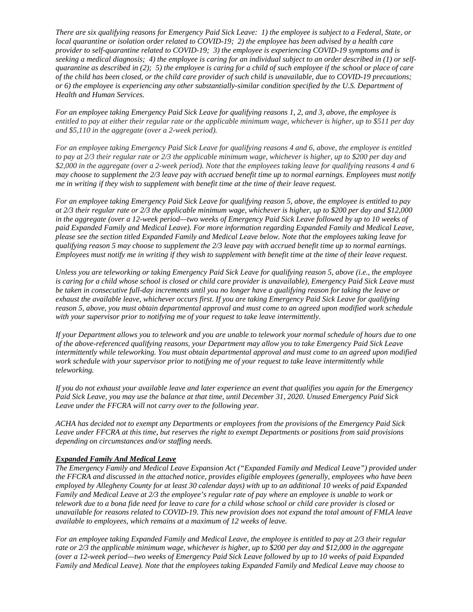*There are six qualifying reasons for Emergency Paid Sick Leave: 1) the employee is subject to a Federal, State, or local quarantine or isolation order related to COVID-19; 2) the employee has been advised by a health care provider to self-quarantine related to COVID-19; 3) the employee is experiencing COVID-19 symptoms and is seeking a medical diagnosis; 4) the employee is caring for an individual subject to an order described in (1) or selfquarantine as described in (2); 5) the employee is caring for a child of such employee if the school or place of care of the child has been closed, or the child care provider of such child is unavailable, due to COVID-19 precautions; or 6) the employee is experiencing any other substantially-similar condition specified by the U.S. Department of Health and Human Services.* 

*For an employee taking Emergency Paid Sick Leave for qualifying reasons 1, 2, and 3, above, the employee is entitled to pay at either their regular rate or the applicable minimum wage, whichever is higher, up to \$511 per day and \$5,110 in the aggregate (over a 2-week period).* 

*For an employee taking Emergency Paid Sick Leave for qualifying reasons 4 and 6, above, the employee is entitled to pay at 2/3 their regular rate or 2/3 the applicable minimum wage, whichever is higher, up to \$200 per day and \$2,000 in the aggregate (over a 2-week period). Note that the employees taking leave for qualifying reasons 4 and 6 may choose to supplement the 2/3 leave pay with accrued benefit time up to normal earnings. Employees must notify me in writing if they wish to supplement with benefit time at the time of their leave request.* 

*For an employee taking Emergency Paid Sick Leave for qualifying reason 5, above, the employee is entitled to pay at 2/3 their regular rate or 2/3 the applicable minimum wage, whichever is higher, up to \$200 per day and \$12,000 in the aggregate (over a 12-week period—two weeks of Emergency Paid Sick Leave followed by up to 10 weeks of paid Expanded Family and Medical Leave). For more information regarding Expanded Family and Medical Leave, please see the section titled Expanded Family and Medical Leave below. Note that the employees taking leave for qualifying reason 5 may choose to supplement the 2/3 leave pay with accrued benefit time up to normal earnings. Employees must notify me in writing if they wish to supplement with benefit time at the time of their leave request.* 

*Unless you are teleworking or taking Emergency Paid Sick Leave for qualifying reason 5, above (i.e., the employee*  is caring for a child whose school is closed or child care provider is unavailable), Emergency Paid Sick Leave must *be taken in consecutive full-day increments until you no longer have a qualifying reason for taking the leave or exhaust the available leave, whichever occurs first. If you are taking Emergency Paid Sick Leave for qualifying reason 5, above, you must obtain departmental approval and must come to an agreed upon modified work schedule with your supervisor prior to notifying me of your request to take leave intermittently.* 

*If your Department allows you to telework and you are unable to telework your normal schedule of hours due to one of the above-referenced qualifying reasons, your Department may allow you to take Emergency Paid Sick Leave intermittently while teleworking. You must obtain departmental approval and must come to an agreed upon modified work schedule with your supervisor prior to notifying me of your request to take leave intermittently while teleworking.* 

*If you do not exhaust your available leave and later experience an event that qualifies you again for the Emergency Paid Sick Leave, you may use the balance at that time, until December 31, 2020. Unused Emergency Paid Sick Leave under the FFCRA will not carry over to the following year.* 

*ACHA has decided not to exempt any Departments or employees from the provisions of the Emergency Paid Sick Leave under FFCRA at this time, but reserves the right to exempt Departments or positions from said provisions depending on circumstances and/or staffing needs.* 

### *Expanded Family And Medical Leave*

*The Emergency Family and Medical Leave Expansion Act ("Expanded Family and Medical Leave") provided under the FFCRA and discussed in the attached notice, provides eligible employees (generally, employees who have been employed by Allegheny County for at least 30 calendar days) with up to an additional 10 weeks of paid Expanded Family and Medical Leave at 2/3 the employee's regular rate of pay where an employee is unable to work or telework due to a bona fide need for leave to care for a child whose school or child care provider is closed or unavailable for reasons related to COVID-19. This new provision does not expand the total amount of FMLA leave available to employees, which remains at a maximum of 12 weeks of leave.* 

*For an employee taking Expanded Family and Medical Leave, the employee is entitled to pay at 2/3 their regular rate or 2/3 the applicable minimum wage, whichever is higher, up to \$200 per day and \$12,000 in the aggregate (over a 12-week period—two weeks of Emergency Paid Sick Leave followed by up to 10 weeks of paid Expanded Family and Medical Leave). Note that the employees taking Expanded Family and Medical Leave may choose to*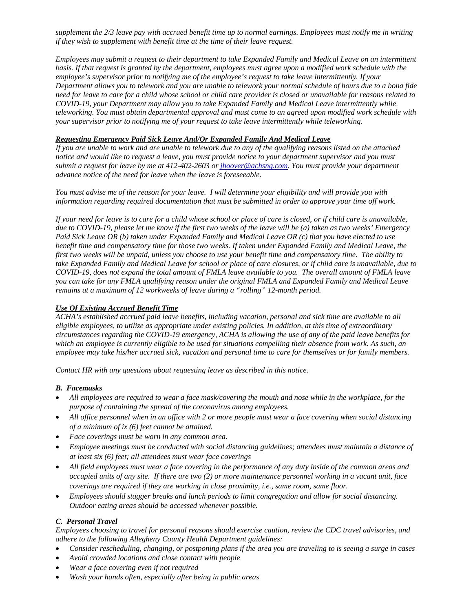*supplement the 2/3 leave pay with accrued benefit time up to normal earnings. Employees must notify me in writing if they wish to supplement with benefit time at the time of their leave request.* 

*Employees may submit a request to their department to take Expanded Family and Medical Leave on an intermittent basis. If that request is granted by the department, employees must agree upon a modified work schedule with the employee's supervisor prior to notifying me of the employee's request to take leave intermittently. If your Department allows you to telework and you are unable to telework your normal schedule of hours due to a bona fide need for leave to care for a child whose school or child care provider is closed or unavailable for reasons related to COVID-19, your Department may allow you to take Expanded Family and Medical Leave intermittently while teleworking. You must obtain departmental approval and must come to an agreed upon modified work schedule with your supervisor prior to notifying me of your request to take leave intermittently while teleworking.* 

## *Requesting Emergency Paid Sick Leave And/Or Expanded Family And Medical Leave*

*If you are unable to work and are unable to telework due to any of the qualifying reasons listed on the attached notice and would like to request a leave, you must provide notice to your department supervisor and you must submit a request for leave by me at 412-402-2603 or jhoover@achsng.com. You must provide your department advance notice of the need for leave when the leave is foreseeable.* 

*You must advise me of the reason for your leave. I will determine your eligibility and will provide you with information regarding required documentation that must be submitted in order to approve your time off work.* 

*If your need for leave is to care for a child whose school or place of care is closed, or if child care is unavailable, due to COVID-19, please let me know if the first two weeks of the leave will be (a) taken as two weeks' Emergency Paid Sick Leave OR (b) taken under Expanded Family and Medical Leave OR (c) that you have elected to use benefit time and compensatory time for those two weeks. If taken under Expanded Family and Medical Leave, the first two weeks will be unpaid, unless you choose to use your benefit time and compensatory time. The ability to take Expanded Family and Medical Leave for school or place of care closures, or if child care is unavailable, due to COVID-19, does not expand the total amount of FMLA leave available to you. The overall amount of FMLA leave you can take for any FMLA qualifying reason under the original FMLA and Expanded Family and Medical Leave remains at a maximum of 12 workweeks of leave during a "rolling" 12-month period.* 

## *Use Of Existing Accrued Benefit Time*

*ACHA's established accrued paid leave benefits, including vacation, personal and sick time are available to all eligible employees, to utilize as appropriate under existing policies. In addition, at this time of extraordinary circumstances regarding the COVID-19 emergency, ACHA is allowing the use of any of the paid leave benefits for*  which an employee is currently eligible to be used for situations compelling their absence from work. As such, an *employee may take his/her accrued sick, vacation and personal time to care for themselves or for family members.* 

*Contact HR with any questions about requesting leave as described in this notice.* 

### *B. Facemasks*

- *All employees are required to wear a face mask/covering the mouth and nose while in the workplace, for the purpose of containing the spread of the coronavirus among employees.*
- *All office personnel when in an office with 2 or more people must wear a face covering when social distancing of a minimum of ix (6) feet cannot be attained.*
- *Face coverings must be worn in any common area.*
- *Employee meetings must be conducted with social distancing guidelines; attendees must maintain a distance of at least six (6) feet; all attendees must wear face coverings*
- *All field employees must wear a face covering in the performance of any duty inside of the common areas and occupied units of any site. If there are two (2) or more maintenance personnel working in a vacant unit, face coverings are required if they are working in close proximity, i.e., same room, same floor.*
- *Employees should stagger breaks and lunch periods to limit congregation and allow for social distancing. Outdoor eating areas should be accessed whenever possible.*

# *C. Personal Travel*

*Employees choosing to travel for personal reasons should exercise caution, review the CDC travel advisories, and adhere to the following Allegheny County Health Department guidelines:* 

- *Consider rescheduling, changing, or postponing plans if the area you are traveling to is seeing a surge in cases*
- *Avoid crowded locations and close contact with people*
- *Wear a face covering even if not required*
- *Wash your hands often, especially after being in public areas*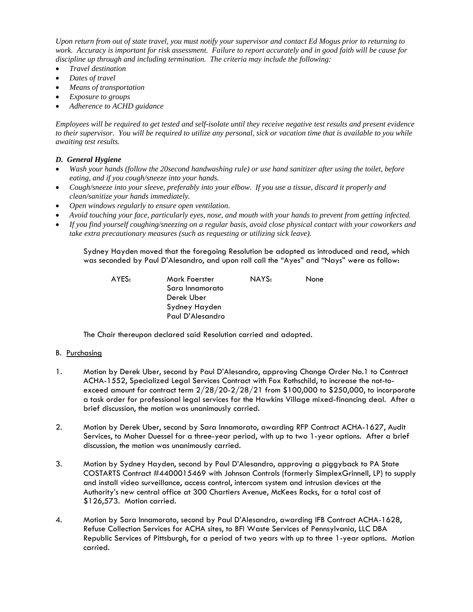*Upon return from out of state travel, you must notify your supervisor and contact Ed Mogus prior to returning to work. Accuracy is important for risk assessment. Failure to report accurately and in good faith will be cause for discipline up through and including termination. The criteria may include the following:* 

- *Travel destination*
- *Dates of travel*
- *Means of transportation*
- *Exposure to groups*
- *Adherence to ACHD guidance*

*Employees will be required to get tested and self-isolate until they receive negative test results and present evidence to their supervisor. You will be required to utilize any personal, sick or vacation time that is available to you while awaiting test results.* 

## *D. General Hygiene*

- *Wash your hands (follow the 20second handwashing rule) or use hand sanitizer after using the toilet, before eating, and if you cough/sneeze into your hands.*
- *Cough/sneeze into your sleeve, preferably into your elbow. If you use a tissue, discard it properly and clean/sanitize your hands immediately.*
- *Open windows regularly to ensure open ventilation.*
- *Avoid touching your face, particularly eyes, nose, and mouth with your hands to prevent from getting infected.*
- *If you find yourself coughing/sneezing on a regular basis, avoid close physical contact with your coworkers and take extra precautionary measures (such as requesting or utilizing sick leave).*

Sydney Hayden moved that the foregoing Resolution be adopted as introduced and read, which was seconded by Paul D'Alesandro, and upon roll call the "Ayes" and "Nays" were as follow:

 AYES: Mark Foerster NAYS: None Sara Innamorato Derek Uber Sydney Hayden Paul D'Alesandro

The Chair thereupon declared said Resolution carried and adopted*.*

### B. Purchasing

- 1. Motion by Derek Uber, second by Paul D'Alesandro, approving Change Order No.1 to Contract ACHA-1552, Specialized Legal Services Contract with Fox Rothschild, to increase the not-toexceed amount for contract term 2/28/20-2/28/21 from \$100,000 to \$250,000, to incorporate a task order for professional legal services for the Hawkins Village mixed-financing deal. After a brief discussion, the motion was unanimously carried.
- 2. Motion by Derek Uber, second by Sara Innamorato, awarding RFP Contract ACHA-1627, Audit Services, to Maher Duessel for a three-year period, with up to two 1-year options. After a brief discussion, the motion was unanimously carried.
- 3. Motion by Sydney Hayden, second by Paul D'Alesandro, approving a piggyback to PA State COSTARTS Contract #4400015469 with Johnson Controls (formerly SimplexGrinnell, LP) to supply and install video surveillance, access control, intercom system and intrusion devices at the Authority's new central office at 300 Chartiers Avenue, McKees Rocks, for a total cost of \$126,573. Motion carried.
- 4. Motion by Sara Innamorato, second by Paul D'Alesandro, awarding IFB Contract ACHA-1628, Refuse Collection Services for ACHA sites, to BFI Waste Services of Pennsylvania, LLC DBA Republic Services of Pittsburgh, for a period of two years with up to three 1-year options. Motion carried.